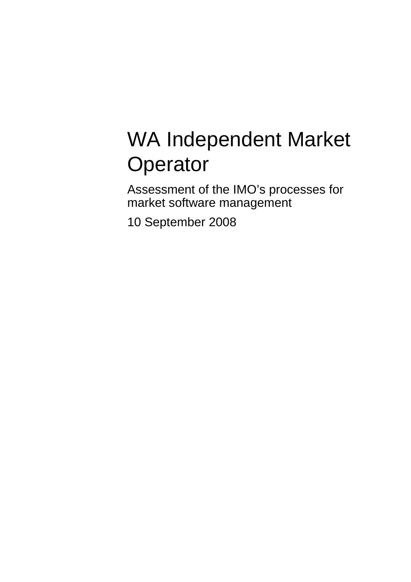# WA Independent Market **Operator**

Assessment of the IMO's processes for market software management

10 September 2008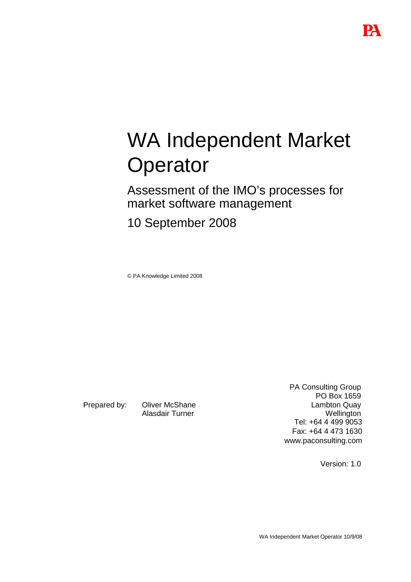# WA Independent Market **Operator**

Assessment of the IMO's processes for market software management

10 September 2008

© PA Knowledge Limited 2008

Prepared by: Oliver McShane Alasdair Turner

PA Consulting Group PO Box 1659 Lambton Quay **Wellington** Tel: +64 4 499 9053 Fax: +64 4 473 1630 www.paconsulting.com

Version: 1.0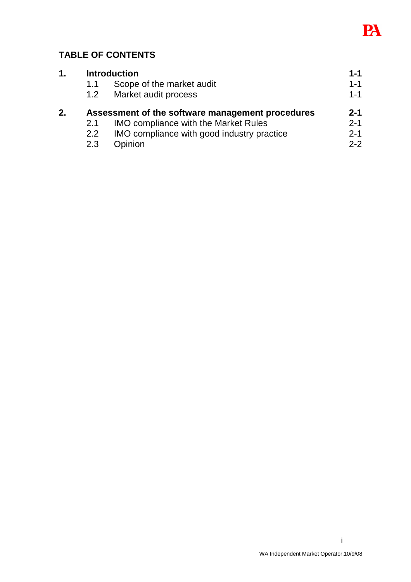

# **TABLE OF CONTENTS**

| 1. | <b>Introduction</b>                              |                                             | $1 - 1$ |
|----|--------------------------------------------------|---------------------------------------------|---------|
|    | 1.1                                              | Scope of the market audit                   | $1 - 1$ |
|    | 1.2 <sub>1</sub>                                 | Market audit process                        | $1 - 1$ |
| 2. | Assessment of the software management procedures |                                             | $2 - 1$ |
|    | 2.1                                              | <b>IMO compliance with the Market Rules</b> | $2 - 1$ |
|    | $2.2^{\circ}$                                    | IMO compliance with good industry practice  | $2 - 1$ |
|    | 2.3                                              | Opinion                                     | $2 - 2$ |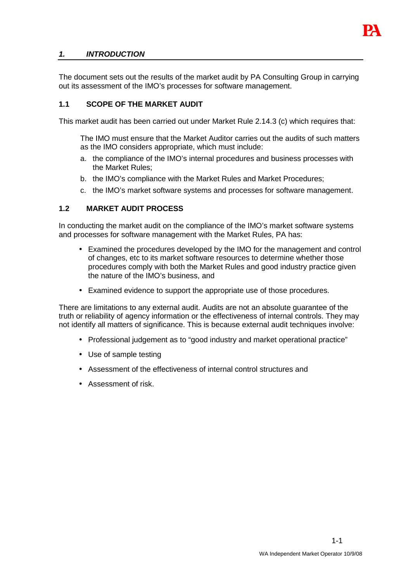

# **1. INTRODUCTION**

The document sets out the results of the market audit by PA Consulting Group in carrying out its assessment of the IMO's processes for software management.

# **1.1 SCOPE OF THE MARKET AUDIT**

This market audit has been carried out under Market Rule 2.14.3 (c) which requires that:

The IMO must ensure that the Market Auditor carries out the audits of such matters as the IMO considers appropriate, which must include:

- a. the compliance of the IMO's internal procedures and business processes with the Market Rules;
- b. the IMO's compliance with the Market Rules and Market Procedures;
- c. the IMO's market software systems and processes for software management.

## **1.2 MARKET AUDIT PROCESS**

In conducting the market audit on the compliance of the IMO's market software systems and processes for software management with the Market Rules, PA has:

- Examined the procedures developed by the IMO for the management and control of changes, etc to its market software resources to determine whether those procedures comply with both the Market Rules and good industry practice given the nature of the IMO's business, and
- Examined evidence to support the appropriate use of those procedures.

There are limitations to any external audit. Audits are not an absolute guarantee of the truth or reliability of agency information or the effectiveness of internal controls. They may not identify all matters of significance. This is because external audit techniques involve:

- Professional judgement as to "good industry and market operational practice"
- Use of sample testing
- Assessment of the effectiveness of internal control structures and
- Assessment of risk.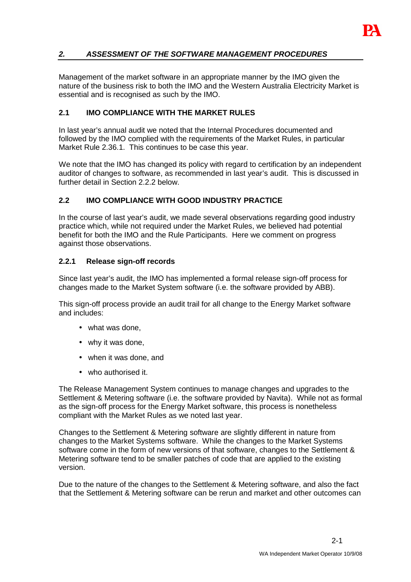

# **2. ASSESSMENT OF THE SOFTWARE MANAGEMENT PROCEDURES**

Management of the market software in an appropriate manner by the IMO given the nature of the business risk to both the IMO and the Western Australia Electricity Market is essential and is recognised as such by the IMO.

#### **2.1 IMO COMPLIANCE WITH THE MARKET RULES**

In last year's annual audit we noted that the Internal Procedures documented and followed by the IMO complied with the requirements of the Market Rules, in particular Market Rule 2.36.1. This continues to be case this year.

We note that the IMO has changed its policy with regard to certification by an independent auditor of changes to software, as recommended in last year's audit. This is discussed in further detail in Section 2.2.2 below.

#### **2.2 IMO COMPLIANCE WITH GOOD INDUSTRY PRACTICE**

In the course of last year's audit, we made several observations regarding good industry practice which, while not required under the Market Rules, we believed had potential benefit for both the IMO and the Rule Participants. Here we comment on progress against those observations.

#### **2.2.1 Release sign-off records**

Since last year's audit, the IMO has implemented a formal release sign-off process for changes made to the Market System software (i.e. the software provided by ABB).

This sign-off process provide an audit trail for all change to the Energy Market software and includes:

- what was done.
- why it was done,
- when it was done, and
- who authorised it.

The Release Management System continues to manage changes and upgrades to the Settlement & Metering software (i.e. the software provided by Navita). While not as formal as the sign-off process for the Energy Market software, this process is nonetheless compliant with the Market Rules as we noted last year.

Changes to the Settlement & Metering software are slightly different in nature from changes to the Market Systems software. While the changes to the Market Systems software come in the form of new versions of that software, changes to the Settlement & Metering software tend to be smaller patches of code that are applied to the existing version.

Due to the nature of the changes to the Settlement & Metering software, and also the fact that the Settlement & Metering software can be rerun and market and other outcomes can